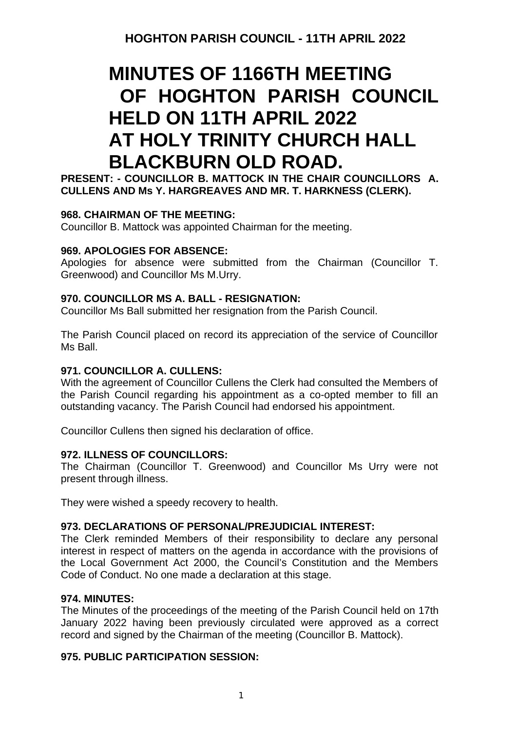# **MINUTES OF 1166TH MEETING OF HOGHTON PARISH COUNCIL HELD ON 11TH APRIL 2022 AT HOLY TRINITY CHURCH HALL BLACKBURN OLD ROAD.**

**PRESENT: - COUNCILLOR B. MATTOCK IN THE CHAIR COUNCILLORS A. CULLENS AND Ms Y. HARGREAVES AND MR. T. HARKNESS (CLERK).**

# **968. CHAIRMAN OF THE MEETING:**

Councillor B. Mattock was appointed Chairman for the meeting.

# **969. APOLOGIES FOR ABSENCE:**

Apologies for absence were submitted from the Chairman (Councillor T. Greenwood) and Councillor Ms M.Urry.

# **970. COUNCILLOR MS A. BALL - RESIGNATION:**

Councillor Ms Ball submitted her resignation from the Parish Council.

The Parish Council placed on record its appreciation of the service of Councillor Ms Ball.

# **971. COUNCILLOR A. CULLENS:**

With the agreement of Councillor Cullens the Clerk had consulted the Members of the Parish Council regarding his appointment as a co-opted member to fill an outstanding vacancy. The Parish Council had endorsed his appointment.

Councillor Cullens then signed his declaration of office.

# **972. ILLNESS OF COUNCILLORS:**

The Chairman (Councillor T. Greenwood) and Councillor Ms Urry were not present through illness.

They were wished a speedy recovery to health.

# **973. DECLARATIONS OF PERSONAL/PREJUDICIAL INTEREST:**

The Clerk reminded Members of their responsibility to declare any personal interest in respect of matters on the agenda in accordance with the provisions of the Local Government Act 2000, the Council's Constitution and the Members Code of Conduct. No one made a declaration at this stage.

# **974. MINUTES:**

The Minutes of the proceedings of the meeting of the Parish Council held on 17th January 2022 having been previously circulated were approved as a correct record and signed by the Chairman of the meeting (Councillor B. Mattock).

# **975. PUBLIC PARTICIPATION SESSION:**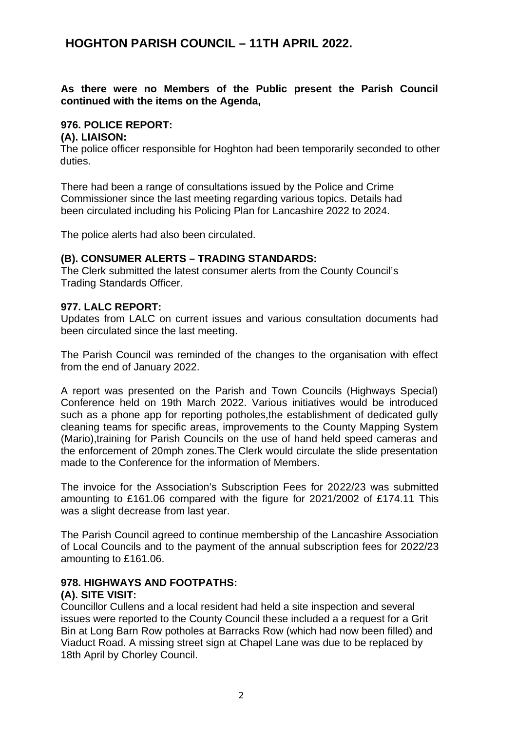# **HOGHTON PARISH COUNCIL – 11TH APRIL 2022.**

# **As there were no Members of the Public present the Parish Council continued with the items on the Agenda,**

### **976. POLICE REPORT:**

#### **(A). LIAISON:**

The police officer responsible for Hoghton had been temporarily seconded to other duties.

There had been a range of consultations issued by the Police and Crime Commissioner since the last meeting regarding various topics. Details had been circulated including his Policing Plan for Lancashire 2022 to 2024.

The police alerts had also been circulated.

#### **(B). CONSUMER ALERTS – TRADING STANDARDS:**

The Clerk submitted the latest consumer alerts from the County Council's Trading Standards Officer.

#### **977. LALC REPORT:**

Updates from LALC on current issues and various consultation documents had been circulated since the last meeting.

The Parish Council was reminded of the changes to the organisation with effect from the end of January 2022.

A report was presented on the Parish and Town Councils (Highways Special) Conference held on 19th March 2022. Various initiatives would be introduced such as a phone app for reporting potholes,the establishment of dedicated gully cleaning teams for specific areas, improvements to the County Mapping System (Mario),training for Parish Councils on the use of hand held speed cameras and the enforcement of 20mph zones.The Clerk would circulate the slide presentation made to the Conference for the information of Members.

The invoice for the Association's Subscription Fees for 2022/23 was submitted amounting to £161.06 compared with the figure for 2021/2002 of £174.11 This was a slight decrease from last year.

The Parish Council agreed to continue membership of the Lancashire Association of Local Councils and to the payment of the annual subscription fees for 2022/23 amounting to £161.06.

#### **978. HIGHWAYS AND FOOTPATHS:**

# **(A). SITE VISIT:**

Councillor Cullens and a local resident had held a site inspection and several issues were reported to the County Council these included a a request for a Grit Bin at Long Barn Row potholes at Barracks Row (which had now been filled) and Viaduct Road. A missing street sign at Chapel Lane was due to be replaced by 18th April by Chorley Council.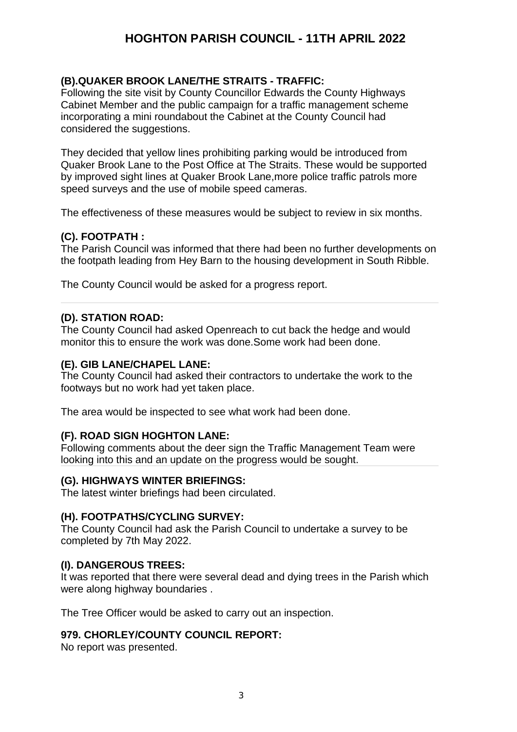# **HOGHTON PARISH COUNCIL - 11TH APRIL 2022**

# **(B).QUAKER BROOK LANE/THE STRAITS - TRAFFIC:**

Following the site visit by County Councillor Edwards the County Highways Cabinet Member and the public campaign for a traffic management scheme incorporating a mini roundabout the Cabinet at the County Council had considered the suggestions.

They decided that yellow lines prohibiting parking would be introduced from Quaker Brook Lane to the Post Office at The Straits. These would be supported by improved sight lines at Quaker Brook Lane,more police traffic patrols more speed surveys and the use of mobile speed cameras.

The effectiveness of these measures would be subject to review in six months.

# **(C). FOOTPATH :**

The Parish Council was informed that there had been no further developments on the footpath leading from Hey Barn to the housing development in South Ribble.

The County Council would be asked for a progress report.

# **(D). STATION ROAD:**

The County Council had asked Openreach to cut back the hedge and would monitor this to ensure the work was done.Some work had been done.

# **(E). GIB LANE/CHAPEL LANE:**

The County Council had asked their contractors to undertake the work to the footways but no work had yet taken place.

The area would be inspected to see what work had been done.

# **(F). ROAD SIGN HOGHTON LANE:**

Following comments about the deer sign the Traffic Management Team were looking into this and an update on the progress would be sought.

#### **(G). HIGHWAYS WINTER BRIEFINGS:**

The latest winter briefings had been circulated.

#### **(H). FOOTPATHS/CYCLING SURVEY:**

The County Council had ask the Parish Council to undertake a survey to be completed by 7th May 2022.

#### **(I). DANGEROUS TREES:**

It was reported that there were several dead and dying trees in the Parish which were along highway boundaries .

The Tree Officer would be asked to carry out an inspection.

# **979. CHORLEY/COUNTY COUNCIL REPORT:**

No report was presented.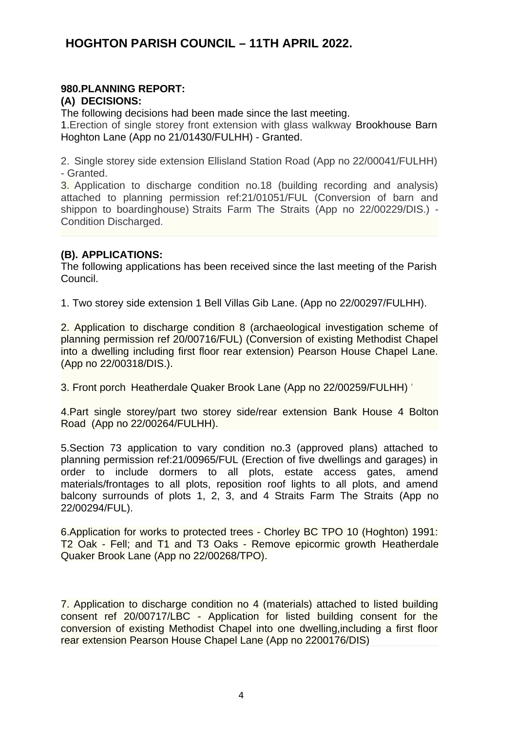# **HOGHTON PARISH COUNCIL – 11TH APRIL 2022.**

# **980.PLANNING REPORT:**

# **(A) DECISIONS:**

The following decisions had been made since the last meeting.

1.Erection of single storey front extension with glass walkway Brookhouse Barn Hoghton Lane (App no 21/01430/FULHH) - Granted.

2. Single storey side extension Ellisland Station Road (App no 22/00041/FULHH) - Granted.

3. Application to discharge condition no.18 (building recording and analysis) attached to planning permission ref:21/01051/FUL (Conversion of barn and shippon to boardinghouse) Straits Farm The Straits (App no 22/00229/DIS.) - Condition Discharged.

# **(B). APPLICATIONS:**

The following applications has been received since the last meeting of the Parish Council.

1. Two storey side extension 1 Bell Villas Gib Lane. (App no 22/00297/FULHH).

2. Application to discharge condition 8 (archaeological investigation scheme of planning permission ref 20/00716/FUL) (Conversion of existing Methodist Chapel into a dwelling including first floor rear extension) Pearson House Chapel Lane. (App no 22/00318/DIS.).

3. [Front porch](https://planning.chorley.gov.uk/online-applications/applicationDetails.do?keyVal=R8DZCTETKAK00&activeTab=summary) Heatherdale Quaker Brook Lane (App no 22/00259/FULHH) '

4[.Part single storey/part two storey side/rear extension](https://planning.chorley.gov.uk/online-applications/applicationDetails.do?keyVal=R8F3F9ET05P00&activeTab=summary) Bank House 4 Bolton Road (App no 22/00264/FULHH).

5[.Section 73 application to vary condition no.3 \(approved plans\) attached to](https://planning.chorley.gov.uk/online-applications/applicationDetails.do?keyVal=R8QY0QETKBT00&activeTab=summary) planning permission ref:21/00965/FUL (Erection of five dwellings and garages) in [order to include dormers to all plots, estate access gates, amend](https://planning.chorley.gov.uk/online-applications/applicationDetails.do?keyVal=R8QY0QETKBT00&activeTab=summary) materials/frontages to all plots, reposition roof lights to all plots, and amend [balcony surrounds of plots 1, 2, 3, and 4](https://planning.chorley.gov.uk/online-applications/applicationDetails.do?keyVal=R8QY0QETKBT00&activeTab=summary) Straits Farm The Straits (App no 22/00294/FUL).

6[.Application for works to protected trees - Chorley BC TPO 10 \(Hoghton\) 1991:](https://planning.chorley.gov.uk/online-applications/applicationDetails.do?keyVal=R8FU20ETLER00&activeTab=summary) [T2 Oak - Fell; and T1 and T3 Oaks - Remove epicormic growth](https://planning.chorley.gov.uk/online-applications/applicationDetails.do?keyVal=R8FU20ETLER00&activeTab=summary) Heatherdale Quaker Brook Lane (App no 22/00268/TPO).

7. Application to discharge condition no 4 (materials) attached to listed building consent ref 20/00717/LBC - Application for listed building consent for the conversion of existing Methodist Chapel into one dwelling,including a first floor rear extension Pearson House Chapel Lane (App no 2200176/DIS)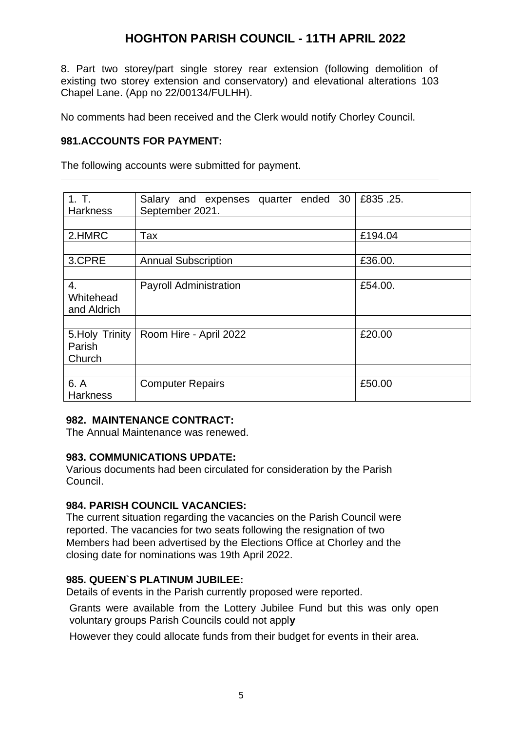# **HOGHTON PARISH COUNCIL - 11TH APRIL 2022**

8. [Part two storey/part single storey rear extension \(following demolition of](https://planning.chorley.gov.uk/online-applications/applicationDetails.do?keyVal=R6SKQ1ETM6000&activeTab=summary) [existing two storey extension and conservatory\) and elevational alterations](https://planning.chorley.gov.uk/online-applications/applicationDetails.do?keyVal=R6SKQ1ETM6000&activeTab=summary) 103 Chapel Lane. (App no 22/00134/FULHH).

No comments had been received and the Clerk would notify Chorley Council.

# **981.ACCOUNTS FOR PAYMENT:**

The following accounts were submitted for payment.

| 1. T.<br><b>Harkness</b>            | Salary and expenses quarter ended 30<br>September 2021. | £835,25. |
|-------------------------------------|---------------------------------------------------------|----------|
|                                     |                                                         |          |
| 2.HMRC                              | Tax                                                     | £194.04  |
|                                     |                                                         |          |
| 3.CPRE                              | <b>Annual Subscription</b>                              | £36.00.  |
|                                     |                                                         |          |
| 4.<br>Whitehead<br>and Aldrich      | <b>Payroll Administration</b>                           | £54.00.  |
|                                     |                                                         |          |
| 5. Holy Trinity<br>Parish<br>Church | Room Hire - April 2022                                  | £20.00   |
|                                     |                                                         |          |
| 6. A<br><b>Harkness</b>             | <b>Computer Repairs</b>                                 | £50.00   |

#### **982. MAINTENANCE CONTRACT:**

The Annual Maintenance was renewed.

#### **983. COMMUNICATIONS UPDATE:**

Various documents had been circulated for consideration by the Parish Council.

#### **984. PARISH COUNCIL VACANCIES:**

The current situation regarding the vacancies on the Parish Council were reported. The vacancies for two seats following the resignation of two Members had been advertised by the Elections Office at Chorley and the closing date for nominations was 19th April 2022.

#### **985. QUEEN`S PLATINUM JUBILEE:**

Details of events in the Parish currently proposed were reported.

Grants were available from the Lottery Jubilee Fund but this was only open voluntary groups Parish Councils could not appl**y**

However they could allocate funds from their budget for events in their area.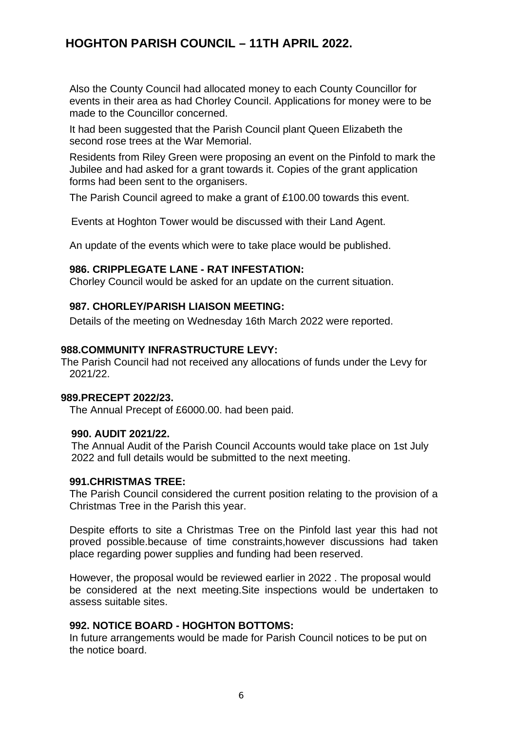# **HOGHTON PARISH COUNCIL – 11TH APRIL 2022.**

Also the County Council had allocated money to each County Councillor for events in their area as had Chorley Council. Applications for money were to be made to the Councillor concerned.

It had been suggested that the Parish Council plant Queen Elizabeth the second rose trees at the War Memorial.

Residents from Riley Green were proposing an event on the Pinfold to mark the Jubilee and had asked for a grant towards it. Copies of the grant application forms had been sent to the organisers.

The Parish Council agreed to make a grant of £100.00 towards this event.

Events at Hoghton Tower would be discussed with their Land Agent.

An update of the events which were to take place would be published.

#### **986. CRIPPLEGATE LANE - RAT INFESTATION:**

Chorley Council would be asked for an update on the current situation.

# **987. CHORLEY/PARISH LIAISON MEETING:**

Details of the meeting on Wednesday 16th March 2022 were reported.

#### **988.COMMUNITY INFRASTRUCTURE LEVY:**

The Parish Council had not received any allocations of funds under the Levy for 2021/22.

#### **989.PRECEPT 2022/23.**

The Annual Precept of £6000.00. had been paid.

#### **990. AUDIT 2021/22.**

The Annual Audit of the Parish Council Accounts would take place on 1st July 2022 and full details would be submitted to the next meeting.

#### **991.CHRISTMAS TREE:**

The Parish Council considered the current position relating to the provision of a Christmas Tree in the Parish this year.

Despite efforts to site a Christmas Tree on the Pinfold last year this had not proved possible.because of time constraints,however discussions had taken place regarding power supplies and funding had been reserved.

However, the proposal would be reviewed earlier in 2022 . The proposal would be considered at the next meeting.Site inspections would be undertaken to assess suitable sites.

#### **992. NOTICE BOARD - HOGHTON BOTTOMS:**

In future arrangements would be made for Parish Council notices to be put on the notice board.